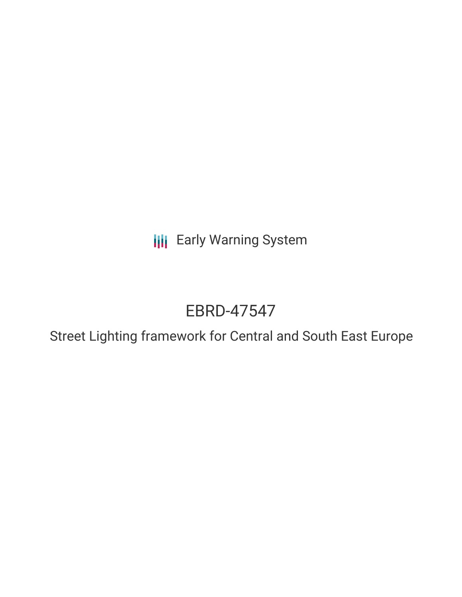**III** Early Warning System

# EBRD-47547

Street Lighting framework for Central and South East Europe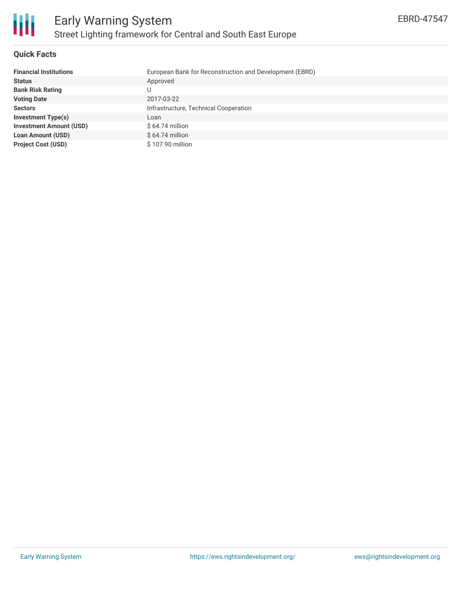#### **Quick Facts**

| <b>Financial Institutions</b>  | European Bank for Reconstruction and Development (EBRD) |
|--------------------------------|---------------------------------------------------------|
| <b>Status</b>                  | Approved                                                |
| <b>Bank Risk Rating</b>        |                                                         |
| <b>Voting Date</b>             | 2017-03-22                                              |
| <b>Sectors</b>                 | Infrastructure, Technical Cooperation                   |
| <b>Investment Type(s)</b>      | Loan                                                    |
| <b>Investment Amount (USD)</b> | $$64.74$ million                                        |
| <b>Loan Amount (USD)</b>       | $$64.74$ million                                        |
| <b>Project Cost (USD)</b>      | \$107.90 million                                        |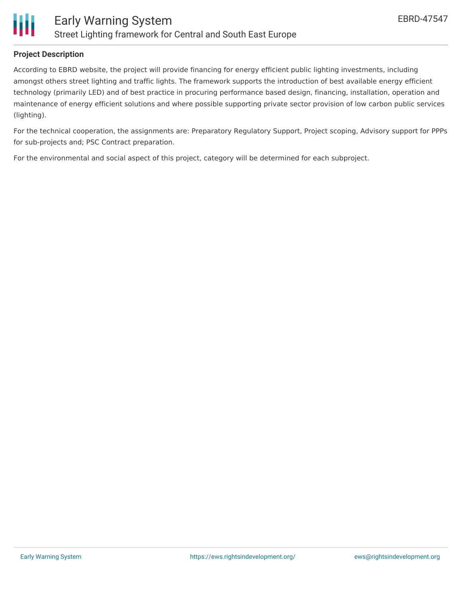

### **Project Description**

According to EBRD website, the project will provide financing for energy efficient public lighting investments, including amongst others street lighting and traffic lights. The framework supports the introduction of best available energy efficient technology (primarily LED) and of best practice in procuring performance based design, financing, installation, operation and maintenance of energy efficient solutions and where possible supporting private sector provision of low carbon public services (lighting).

For the technical cooperation, the assignments are: Preparatory Regulatory Support, Project scoping, Advisory support for PPPs for sub-projects and; PSC Contract preparation.

For the environmental and social aspect of this project, category will be determined for each subproject.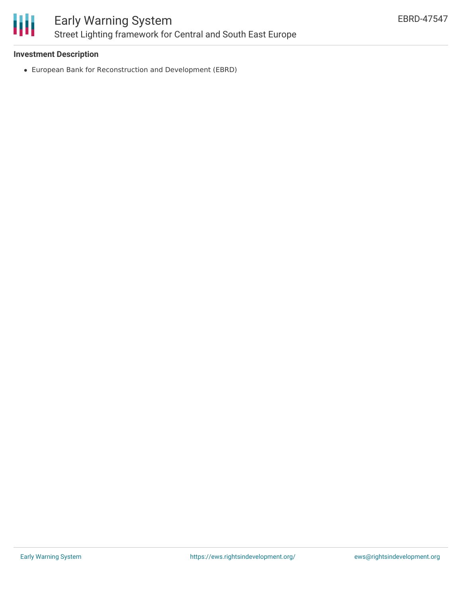

#### **Investment Description**

European Bank for Reconstruction and Development (EBRD)